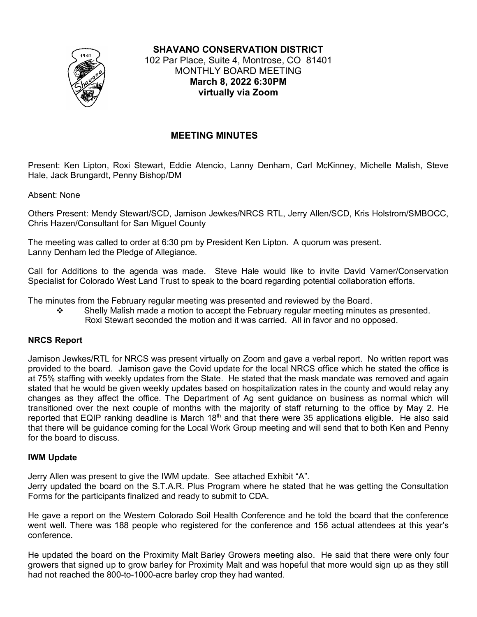

**SHAVANO CONSERVATION DISTRICT** 102 Par Place, Suite 4, Montrose, CO 81401 MONTHLY BOARD MEETING **March 8, 2022 6:30PM virtually via Zoom**

# **MEETING MINUTES**

Present: Ken Lipton, Roxi Stewart, Eddie Atencio, Lanny Denham, Carl McKinney, Michelle Malish, Steve Hale, Jack Brungardt, Penny Bishop/DM

Absent: None

Others Present: Mendy Stewart/SCD, Jamison Jewkes/NRCS RTL, Jerry Allen/SCD, Kris Holstrom/SMBOCC, Chris Hazen/Consultant for San Miguel County

The meeting was called to order at 6:30 pm by President Ken Lipton. A quorum was present. Lanny Denham led the Pledge of Allegiance.

Call for Additions to the agenda was made. Steve Hale would like to invite David Varner/Conservation Specialist for Colorado West Land Trust to speak to the board regarding potential collaboration efforts.

The minutes from the February regular meeting was presented and reviewed by the Board.

 $\mathbf{\hat{P}}$  Shelly Malish made a motion to accept the February regular meeting minutes as presented. Roxi Stewart seconded the motion and it was carried. All in favor and no opposed.

### **NRCS Report**

Jamison Jewkes/RTL for NRCS was present virtually on Zoom and gave a verbal report. No written report was provided to the board. Jamison gave the Covid update for the local NRCS office which he stated the office is at 75% staffing with weekly updates from the State. He stated that the mask mandate was removed and again stated that he would be given weekly updates based on hospitalization rates in the county and would relay any changes as they affect the office. The Department of Ag sent guidance on business as normal which will transitioned over the next couple of months with the majority of staff returning to the office by May 2. He reported that EQIP ranking deadline is March  $18<sup>th</sup>$  and that there were 35 applications eligible. He also said that there will be guidance coming for the Local Work Group meeting and will send that to both Ken and Penny for the board to discuss.

#### **IWM Update**

Jerry Allen was present to give the IWM update. See attached Exhibit "A".

Jerry updated the board on the S.T.A.R. Plus Program where he stated that he was getting the Consultation Forms for the participants finalized and ready to submit to CDA.

He gave a report on the Western Colorado Soil Health Conference and he told the board that the conference went well. There was 188 people who registered for the conference and 156 actual attendees at this year's conference.

He updated the board on the Proximity Malt Barley Growers meeting also. He said that there were only four growers that signed up to grow barley for Proximity Malt and was hopeful that more would sign up as they still had not reached the 800-to-1000-acre barley crop they had wanted.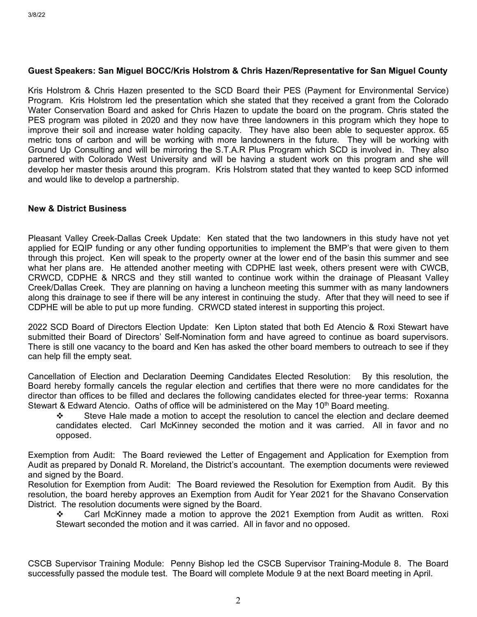#### **Guest Speakers: San Miguel BOCC/Kris Holstrom & Chris Hazen/Representative for San Miguel County**

Kris Holstrom & Chris Hazen presented to the SCD Board their PES (Payment for Environmental Service) Program. Kris Holstrom led the presentation which she stated that they received a grant from the Colorado Water Conservation Board and asked for Chris Hazen to update the board on the program. Chris stated the PES program was piloted in 2020 and they now have three landowners in this program which they hope to improve their soil and increase water holding capacity. They have also been able to sequester approx. 65 metric tons of carbon and will be working with more landowners in the future. They will be working with Ground Up Consulting and will be mirroring the S.T.A.R Plus Program which SCD is involved in. They also partnered with Colorado West University and will be having a student work on this program and she will develop her master thesis around this program. Kris Holstrom stated that they wanted to keep SCD informed and would like to develop a partnership.

### **New & District Business**

Pleasant Valley Creek-Dallas Creek Update: Ken stated that the two landowners in this study have not yet applied for EQIP funding or any other funding opportunities to implement the BMP's that were given to them through this project. Ken will speak to the property owner at the lower end of the basin this summer and see what her plans are. He attended another meeting with CDPHE last week, others present were with CWCB, CRWCD, CDPHE & NRCS and they still wanted to continue work within the drainage of Pleasant Valley Creek/Dallas Creek. They are planning on having a luncheon meeting this summer with as many landowners along this drainage to see if there will be any interest in continuing the study. After that they will need to see if CDPHE will be able to put up more funding. CRWCD stated interest in supporting this project.

2022 SCD Board of Directors Election Update: Ken Lipton stated that both Ed Atencio & Roxi Stewart have submitted their Board of Directors' Self-Nomination form and have agreed to continue as board supervisors. There is still one vacancy to the board and Ken has asked the other board members to outreach to see if they can help fill the empty seat.

Cancellation of Election and Declaration Deeming Candidates Elected Resolution: By this resolution, the Board hereby formally cancels the regular election and certifies that there were no more candidates for the director than offices to be filled and declares the following candidates elected for three-year terms: Roxanna Stewart & Edward Atencio. Oaths of office will be administered on the May 10<sup>th</sup> Board meeting.

Steve Hale made a motion to accept the resolution to cancel the election and declare deemed candidates elected. Carl McKinney seconded the motion and it was carried. All in favor and no opposed.

Exemption from Audit: The Board reviewed the Letter of Engagement and Application for Exemption from Audit as prepared by Donald R. Moreland, the District's accountant. The exemption documents were reviewed and signed by the Board.

Resolution for Exemption from Audit: The Board reviewed the Resolution for Exemption from Audit. By this resolution, the board hereby approves an Exemption from Audit for Year 2021 for the Shavano Conservation District. The resolution documents were signed by the Board.

\* Carl McKinney made a motion to approve the 2021 Exemption from Audit as written. Roxi Stewart seconded the motion and it was carried. All in favor and no opposed.

CSCB Supervisor Training Module: Penny Bishop led the CSCB Supervisor Training-Module 8. The Board successfully passed the module test. The Board will complete Module 9 at the next Board meeting in April.